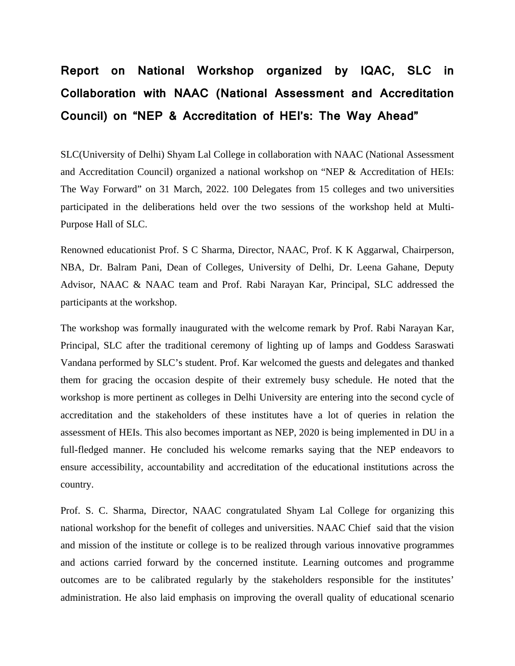## **Report on National Workshop organized by IQAC, SLC in Collaboration with NAAC (National Assessment and Accreditation Council) on "NEP & Accreditation of HEI's: The Way Ahead"**

SLC(University of Delhi) Shyam Lal College in collaboration with NAAC (National Assessment and Accreditation Council) organized a national workshop on "NEP & Accreditation of HEIs: The Way Forward" on 31 March, 2022. 100 Delegates from 15 colleges and two universities participated in the deliberations held over the two sessions of the workshop held at Multi-Purpose Hall of SLC.

Renowned educationist Prof. S C Sharma, Director, NAAC, Prof. K K Aggarwal, Chairperson, NBA, Dr. Balram Pani, Dean of Colleges, University of Delhi, Dr. Leena Gahane, Deputy Advisor, NAAC & NAAC team and Prof. Rabi Narayan Kar, Principal, SLC addressed the participants at the workshop.

The workshop was formally inaugurated with the welcome remark by Prof. Rabi Narayan Kar, Principal, SLC after the traditional ceremony of lighting up of lamps and Goddess Saraswati Vandana performed by SLC's student. Prof. Kar welcomed the guests and delegates and thanked them for gracing the occasion despite of their extremely busy schedule. He noted that the workshop is more pertinent as colleges in Delhi University are entering into the second cycle of accreditation and the stakeholders of these institutes have a lot of queries in relation the assessment of HEIs. This also becomes important as NEP, 2020 is being implemented in DU in a full-fledged manner. He concluded his welcome remarks saying that the NEP endeavors to ensure accessibility, accountability and accreditation of the educational institutions across the country.

Prof. S. C. Sharma, Director, NAAC congratulated Shyam Lal College for organizing this national workshop for the benefit of colleges and universities. NAAC Chief said that the vision and mission of the institute or college is to be realized through various innovative programmes and actions carried forward by the concerned institute. Learning outcomes and programme outcomes are to be calibrated regularly by the stakeholders responsible for the institutes' administration. He also laid emphasis on improving the overall quality of educational scenario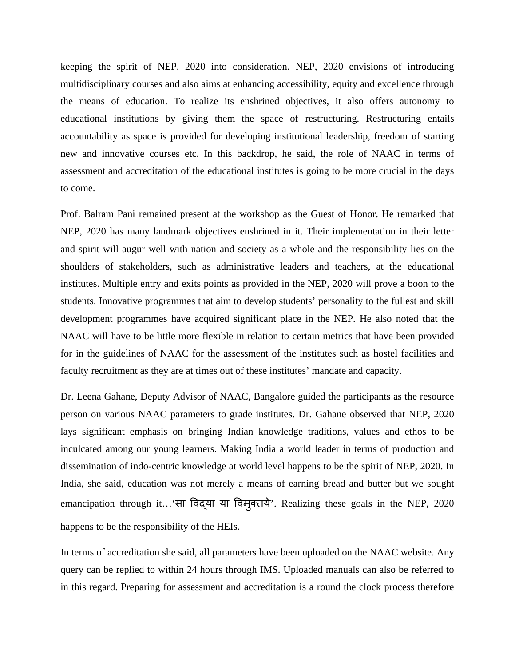keeping the spirit of NEP, 2020 into consideration. NEP, 2020 envisions of introducing multidisciplinary courses and also aims at enhancing accessibility, equity and excellence through the means of education. To realize its enshrined objectives, it also offers autonomy to educational institutions by giving them the space of restructuring. Restructuring entails accountability as space is provided for developing institutional leadership, freedom of starting new and innovative courses etc. In this backdrop, he said, the role of NAAC in terms of assessment and accreditation of the educational institutes is going to be more crucial in the days to come.

Prof. Balram Pani remained present at the workshop as the Guest of Honor. He remarked that NEP, 2020 has many landmark objectives enshrined in it. Their implementation in their letter and spirit will augur well with nation and society as a whole and the responsibility lies on the shoulders of stakeholders, such as administrative leaders and teachers, at the educational institutes. Multiple entry and exits points as provided in the NEP, 2020 will prove a boon to the students. Innovative programmes that aim to develop students' personality to the fullest and skill development programmes have acquired significant place in the NEP. He also noted that the NAAC will have to be little more flexible in relation to certain metrics that have been provided for in the guidelines of NAAC for the assessment of the institutes such as hostel facilities and faculty recruitment as they are at times out of these institutes' mandate and capacity.

Dr. Leena Gahane, Deputy Advisor of NAAC, Bangalore guided the participants as the resource person on various NAAC parameters to grade institutes. Dr. Gahane observed that NEP, 2020 lays significant emphasis on bringing Indian knowledge traditions, values and ethos to be inculcated among our young learners. Making India a world leader in terms of production and dissemination of indo-centric knowledge at world level happens to be the spirit of NEP, 2020. In India, she said, education was not merely a means of earning bread and butter but we sought emancipation through it... 'सा विद्या या विम्*क्तये*'. Realizing these goals in the NEP, 2020 happens to be the responsibility of the HEIs.

In terms of accreditation she said, all parameters have been uploaded on the NAAC website. Any query can be replied to within 24 hours through IMS. Uploaded manuals can also be referred to in this regard. Preparing for assessment and accreditation is a round the clock process therefore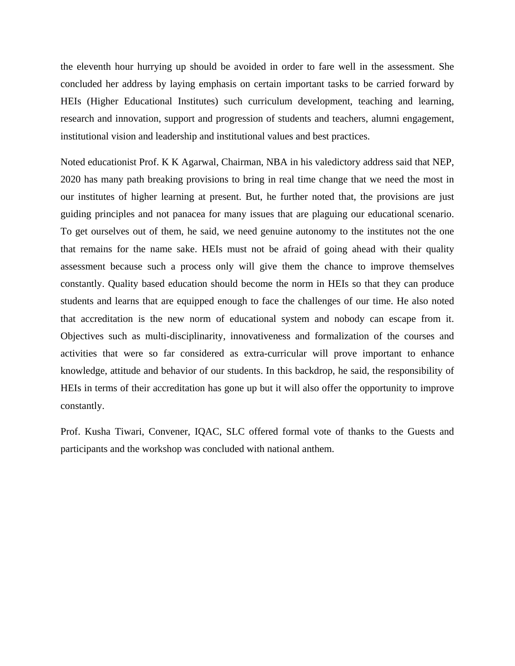the eleventh hour hurrying up should be avoided in order to fare well in the assessment. She concluded her address by laying emphasis on certain important tasks to be carried forward by HEIs (Higher Educational Institutes) such curriculum development, teaching and learning, research and innovation, support and progression of students and teachers, alumni engagement, institutional vision and leadership and institutional values and best practices.

Noted educationist Prof. K K Agarwal, Chairman, NBA in his valedictory address said that NEP, 2020 has many path breaking provisions to bring in real time change that we need the most in our institutes of higher learning at present. But, he further noted that, the provisions are just guiding principles and not panacea for many issues that are plaguing our educational scenario. To get ourselves out of them, he said, we need genuine autonomy to the institutes not the one that remains for the name sake. HEIs must not be afraid of going ahead with their quality assessment because such a process only will give them the chance to improve themselves constantly. Quality based education should become the norm in HEIs so that they can produce students and learns that are equipped enough to face the challenges of our time. He also noted that accreditation is the new norm of educational system and nobody can escape from it. Objectives such as multi-disciplinarity, innovativeness and formalization of the courses and activities that were so far considered as extra-curricular will prove important to enhance knowledge, attitude and behavior of our students. In this backdrop, he said, the responsibility of HEIs in terms of their accreditation has gone up but it will also offer the opportunity to improve constantly.

Prof. Kusha Tiwari, Convener, IQAC, SLC offered formal vote of thanks to the Guests and participants and the workshop was concluded with national anthem.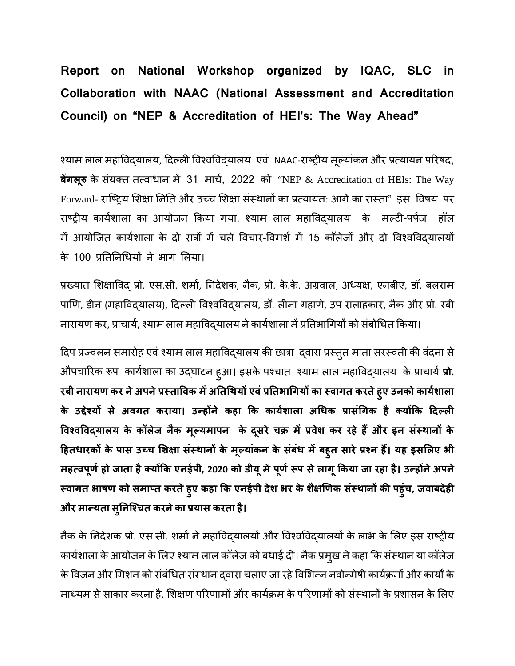## **Report on National Workshop organized by IQAC, SLC in Collaboration with NAAC (National Assessment and Accreditation Council) on "NEP & Accreditation of HEI's: The Way Ahead"**

श्याम लाल महाविद्यालय, दिल्ली विश्वविद्यालय एव NAAC-राष्ट्रीय मूल्याकन और प्रत्यायन परिषद, **बेंगलूरु** के संयक्त तत्वाधान में 31 मार्च, 2022 को "NEP & Accreditation of HEIs: The Way Forward- राष्ट्रिय शिक्षा निति और उच्च शिक्षा संस्थानों का प्रत्यायन: आगे का रास्ता" इस विषय पर राष्ट्रीय कार्यशाला का आयोजन किया गया. श्याम लाल महाविद्यालय के मल्टी-पर्पज हॉल में आयोजित कार्यशाला के दो सत्रों में चले विचार-विमर्श में 15 कॉलेजों और दो विश्वविदयालयों के 100 प्रतिनिधियों ने भाग लिया।

प्रख्यात शिक्षाविद् प्रो. एस.सी. शर्मा, निदेशक, नैक, प्रो. के.के. अग्रवाल, अध्यक्ष, एनबीए, डॉ. बलराम पाणि, डीन (महाविद्यालय), दिल्ली विश्वविद्यालय, डॉ. लीना गहाणे, उप सलाहकार, नैक और प्रो. रबी नारायण कर, प्राचार्य, श्याम लाल महाविदयालय ने कार्यशाला में प्रतिभागियों को संबोधित किया।

दिप प्रज्वलन समारोह एवं श्याम लाल महाविद्यालय की छात्रा द्वारा प्रस्तुत माता सरस्वती की वंदना से औपचारिक रूप कार्यशाला का उद्घाटन हुआ। इसके पश्चात श्याम लाल महाविद्यालय के प्राचार्य **प्रो. रबी नारायण कर नेअपनेप्रèतािवक मɅअितिथयɉ एवंप्रितभािगयɉ का èवागत करतेहु ए उनको कायशाला र् के उƧेæयɉ से अवगत कराया। उÛहɉने कहा िक कायशाला र् अिधक प्रासिगक ं है क्यɉिक िदãली िवæविवɮयालय के कॉलेज नैक मãयमापन ू के दसर ू े चक्र मɅप्रवेश कर रहे हɇऔर इन संèथानɉ के िहतधारकɉ के पास उÍच िशक्षा संèथानɉ के मãया ू ंकन के संबंध मɅबहु त सारेप्रæन हɇ। यह इसिलए भी मह×वपू णर्हो जाता हैक्यɉिक एनईपी, 2020 को डीयूमɅपू णर्Ǿप सेलागूिकया जा रहा है। उÛहɉनेअपने èवागत भाषण को समाÜत करतेहु ए कहा िक एनईपी देश भर के शैक्षिणक संèथानɉ की पहुंच, जवाबदेही और माÛयता सिनिæचत ु करनेका प्रयास करता है।**

नैक के निदेशक प्रो. एस.सी. शर्मा ने महाविद्यालयों और विश्वविद्यालयों के लाभ के लिए इस राष्ट्रीय कार्यशाला के आयोजन के लिए श्याम लाल कॉलेज को बधाई दी। नैक प्रमुख ने कहा कि संस्थान या कॉलेज के विजन और मिशन को संबंधित संस्थान दवारा चलाए जा रहे विभिन्न नवोन्मेषी कार्यक्रमों और कार्यों के माध्यम से साकार करना है. शिक्षण परिणामों और कार्यक्रम के परिणामों को संस्थानों के प्रशासन के लिए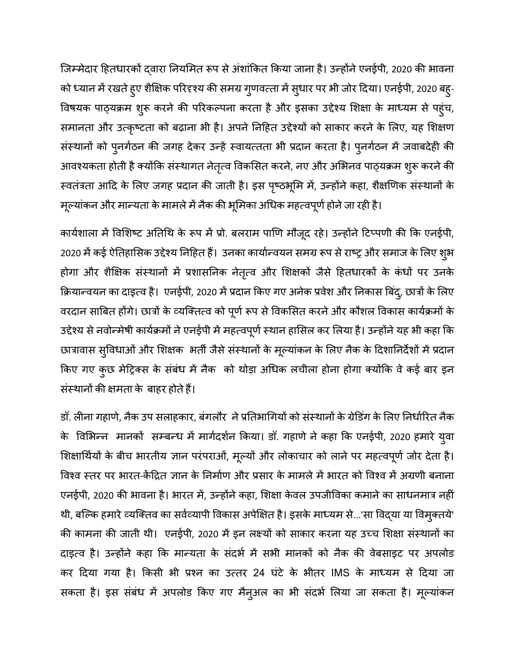जिम्मेदार हितधारकों दवारा नियमित रूप से अंशांकित किया जाना है। उन्होंने एनईपी, 2020 की भावना को ध्यान मे रखते हुए शैक्षिक परिदृश्य की समग्र गुणवत्ता मे सुधार पर भी जोर दिया। एनईपी, 2020 बहु-विषयक पाठ्यक्रम शुरू करने की परिकल्पना करता है और इसका उद्देश्य शिक्षा के माध्यम से पहुंच, समानता और उत्कृष्टता को बढ़ाना भी है। अपने निहित उद्देश्यों को साकार करने के लिए, यह शिक्षण संस्थानों को पुनर्गठन की जगह देकर उन्हें स्वायत्तता भी प्रदान करता है। पुनर्गठन में जवाबदेही की आवश्यकता होती है क्योंकि संस्थागत नेतृत्व विकसित करने, नए और अभिनव पाठ्यक्रम शुरू करने की स्वतंत्रता आदि के लिए जगह प्रदान की जाती है। इस पृष्ठभूमि में, उन्होंने कहा, शैक्षणिक संस्थानों के मूल्याकन और मान्यता के मामले में नैक की भूमिका अधिक महत्वपूर्ण होने जा रही है।

कार्यशाला में विशिष्ट अतिथि के रूप में प्रो. बलराम पाणि मौजूद रहे। उन्होंने टिप्पणी की कि एनईपी, 2020 में कई ऐतिहासिक उद्देश्य निहित है। उनका कार्यान्वयन समग्र रूप से राष्ट्र और समाज के लिए शुभ होगा और शैक्षिक संस्थानों में प्रशासनिक नेतृत्व और शिक्षकों जैसे हितधारकों के कंधों पर उनके क्रियान्वयन का दाइत्व है। एनईपी, 2020 में प्रदान किए गए अनेक प्रवेश और निकास बिंदु, छात्रों के लिए वरदान साबित होगे। छात्रों के व्यक्तित्व को पूर्ण रूप से विकसित करने और कौशल विकास कार्यक्रमों के उद्देश्य से नवोन्मेषी कार्यक्रमों ने एनईपी में महत्वपूर्ण स्थान हासिल कर लिया है। उन्होंने यह भी कहा कि छात्रावास सुविधाओ और शिक्षक भती जैसे संस्थानों के मूल्याकन के लिए नैक के दिशानिर्देशों में प्रदान किए गए कुछ मेट्रिक्स के संबंध में नैक को थोड़ा अधिक लचीला होना होगा क्योंकि वे कई बार इन संस्थानों की क्षमता के बाहर होते हैं।

डॉ. लीना गहाणे, नैक उप सलाहकार, बंगलौर ने प्रतिभागियों को संस्थानों के ग्रेडिंग के लिए निर्धारित नैक के विभिन्न मानको सम्बन्ध मे मार्गदर्शन किया। डॉ. गहाणे ने कहा कि एनईपी, 2020 हमारे युवा शिक्षार्थियों के बीच भारतीय ज्ञान परंपराओं, मूल्यों और लोकाचार को लाने पर महत्वपूर्ण जोर देता है। विश्व स्तर पर भारत-केंद्रित ज्ञान के निर्माण और प्रसार के मामले में भारत को विश्व में अग्रणी बनाना एनईपी, 2020 की भावना है। भारत में, उन्होंने कहा, शिक्षा केवल उपजीविका कमाने का साधनमात्र नहीं थी, बल्कि हमारे व्यक्तिव का सर्वव्यापी विकास अपेक्षित है। इसके माध्यम से...'सा विद्या या विमुक्तये' की कामना की जाती थी। एनईपी, 2020 में इन लक्ष्यों को साकार करना यह उच्च शिक्षा संस्थानों का दाइत्व है। उन्होंने कहा कि मान्यता के संदर्भ में सभी मानकों को नैक की वेबसाइट पर अपलोड कर दिया गया है। किसी भी प्रश्न का उत्तर 24 घंटे के भीतर IMS के माध्यम से दिया जा सकता है। इस संबंध में अपलोड किए गए मैनुअल का भी सदभे लिया जा सकता है। मूल्याकन